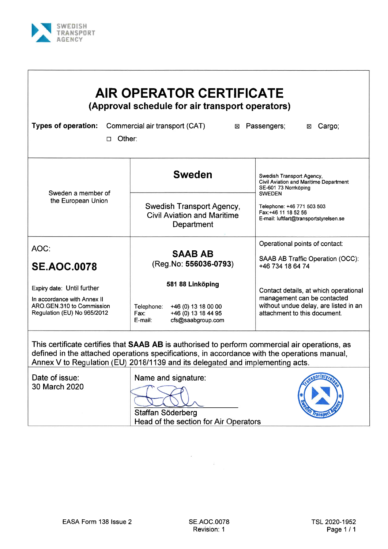

Г

| (Approval schedule for air transport operators)<br><b>Types of operation:</b><br>Commercial air transport (CAT)<br>Passengers;<br>Cargo;<br>⊠<br>×<br>Other:<br>п |                                                                                                  |                                                                                                                     |  |  |  |  |  |  |
|-------------------------------------------------------------------------------------------------------------------------------------------------------------------|--------------------------------------------------------------------------------------------------|---------------------------------------------------------------------------------------------------------------------|--|--|--|--|--|--|
| Sweden a member of                                                                                                                                                | <b>Sweden</b>                                                                                    | Swedish Transport Agency,<br><b>Civil Aviation and Maritime Department</b><br>SE-601 73 Norrköping<br><b>SWEDEN</b> |  |  |  |  |  |  |
| the European Union                                                                                                                                                | Swedish Transport Agency,<br><b>Civil Aviation and Maritime</b><br>Department                    | Telephone: +46 771 503 503<br>Fax:+46 11 18 52 56<br>E-mail: luftfart@transportstyrelsen.se                         |  |  |  |  |  |  |
| AOC:                                                                                                                                                              | <b>SAAB AB</b>                                                                                   | Operational points of contact:                                                                                      |  |  |  |  |  |  |
| <b>SE.AOC.0078</b>                                                                                                                                                | (Reg.No: 556036-0793)                                                                            | SAAB AB Traffic Operation (OCC):<br>+46 734 18 64 74                                                                |  |  |  |  |  |  |
| Expiry date: Until further                                                                                                                                        | 581 88 Linköping                                                                                 | Contact details, at which operational                                                                               |  |  |  |  |  |  |
| In accordance with Annex II<br>ARO.GEN.310 to Commission<br>Regulation (EU) No 965/2012                                                                           | Telephone:<br>+46 (0) 13 18 00 00<br>+46 (0) 13 18 44 95<br>Fax:<br>cfs@saabgroup.com<br>E-mail: | management can be contacted<br>without undue delay, are listed in an<br>attachment to this document.                |  |  |  |  |  |  |

Date of issue: 30 March 2020 Name and signature:

Staffan Söderberg Head of the section for Air Operators

 $\mathcal{A}$ 



 $\sim$   $\,$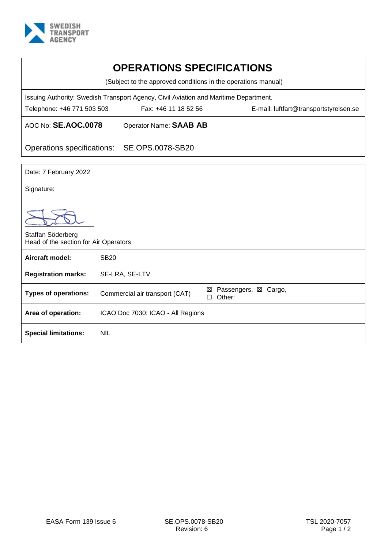

| <b>OPERATIONS SPECIFICATIONS</b>                                                     |                                   |                                        |  |  |  |  |  |
|--------------------------------------------------------------------------------------|-----------------------------------|----------------------------------------|--|--|--|--|--|
| (Subject to the approved conditions in the operations manual)                        |                                   |                                        |  |  |  |  |  |
| Issuing Authority: Swedish Transport Agency, Civil Aviation and Maritime Department. |                                   |                                        |  |  |  |  |  |
| Telephone: +46 771 503 503                                                           | Fax: +46 11 18 52 56              | E-mail: luftfart@transportstyrelsen.se |  |  |  |  |  |
| AOC No: SE.AOC.0078                                                                  | Operator Name: SAAB AB            |                                        |  |  |  |  |  |
| Operations specifications:                                                           | SE.OPS.0078-SB20                  |                                        |  |  |  |  |  |
| Date: 7 February 2022                                                                |                                   |                                        |  |  |  |  |  |
| Signature:                                                                           |                                   |                                        |  |  |  |  |  |
|                                                                                      |                                   |                                        |  |  |  |  |  |
| Staffan Söderberg<br>Head of the section for Air Operators                           |                                   |                                        |  |  |  |  |  |
| Aircraft model:                                                                      | <b>SB20</b>                       |                                        |  |  |  |  |  |
| <b>Registration marks:</b>                                                           | SE-LRA, SE-LTV                    |                                        |  |  |  |  |  |
| <b>Types of operations:</b>                                                          | Commercial air transport (CAT)    | ⊠ Passengers, ⊠ Cargo,<br>Other:<br>п  |  |  |  |  |  |
| Area of operation:                                                                   | ICAO Doc 7030: ICAO - All Regions |                                        |  |  |  |  |  |
| <b>Special limitations:</b>                                                          | <b>NIL</b>                        |                                        |  |  |  |  |  |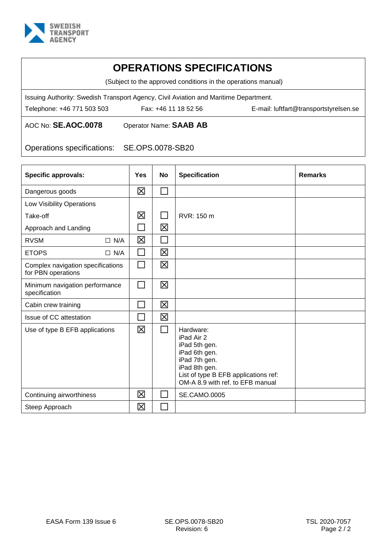

(Subject to the approved conditions in the operations manual)

Issuing Authority: Swedish Transport Agency, Civil Aviation and Maritime Department.

Telephone: +46 771 503 503 Fax: +46 11 18 52 56 E-mail: luftfart@transportstyrelsen.se

AOC No: **SE.AOC.0078** Operator Name: **SAAB AB**

Operations specifications: SE.OPS.0078-SB20

| <b>Specific approvals:</b>                              | Yes          | No | <b>Specification</b>                                                                                                                                                    | <b>Remarks</b> |
|---------------------------------------------------------|--------------|----|-------------------------------------------------------------------------------------------------------------------------------------------------------------------------|----------------|
| Dangerous goods                                         | 区            |    |                                                                                                                                                                         |                |
| Low Visibility Operations                               |              |    |                                                                                                                                                                         |                |
| Take-off                                                | 区            |    | RVR: 150 m                                                                                                                                                              |                |
| Approach and Landing                                    | $\mathsf{L}$ | 区  |                                                                                                                                                                         |                |
| <b>RVSM</b><br>$\Box$ N/A                               | $\boxtimes$  |    |                                                                                                                                                                         |                |
| <b>ETOPS</b><br>$\Box$ N/A                              | ΙI           | 区  |                                                                                                                                                                         |                |
| Complex navigation specifications<br>for PBN operations | П            | 区  |                                                                                                                                                                         |                |
| Minimum navigation performance<br>specification         | $\Box$       | 区  |                                                                                                                                                                         |                |
| Cabin crew training                                     |              | 区  |                                                                                                                                                                         |                |
| Issue of CC attestation                                 |              | 区  |                                                                                                                                                                         |                |
| Use of type B EFB applications                          | $\boxtimes$  |    | Hardware:<br>iPad Air 2<br>iPad 5th gen.<br>iPad 6th gen.<br>iPad 7th gen.<br>iPad 8th gen.<br>List of type B EFB applications ref:<br>OM-A 8.9 with ref. to EFB manual |                |
| Continuing airworthiness                                | 区            |    | <b>SE.CAMO.0005</b>                                                                                                                                                     |                |
| Steep Approach                                          | $\boxtimes$  |    |                                                                                                                                                                         |                |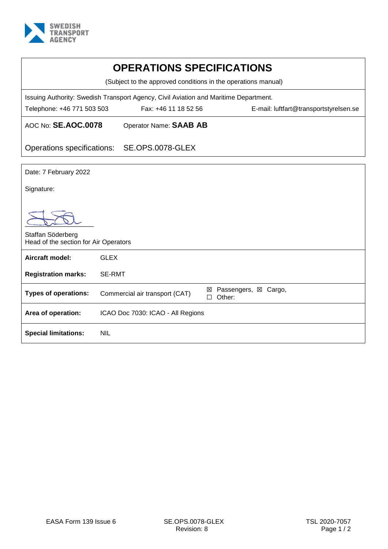

| <b>OPERATIONS SPECIFICATIONS</b>                              |                                                                                      |                                          |  |  |  |  |  |
|---------------------------------------------------------------|--------------------------------------------------------------------------------------|------------------------------------------|--|--|--|--|--|
| (Subject to the approved conditions in the operations manual) |                                                                                      |                                          |  |  |  |  |  |
|                                                               | Issuing Authority: Swedish Transport Agency, Civil Aviation and Maritime Department. |                                          |  |  |  |  |  |
| Telephone: +46 771 503 503                                    | Fax: +46 11 18 52 56<br>E-mail: luftfart@transportstyrelsen.se                       |                                          |  |  |  |  |  |
| AOC No: SE.AOC.0078<br>Operator Name: SAAB AB                 |                                                                                      |                                          |  |  |  |  |  |
| Operations specifications:                                    | SE.OPS.0078-GLEX                                                                     |                                          |  |  |  |  |  |
|                                                               |                                                                                      |                                          |  |  |  |  |  |
| Date: 7 February 2022                                         |                                                                                      |                                          |  |  |  |  |  |
| Signature:                                                    |                                                                                      |                                          |  |  |  |  |  |
|                                                               |                                                                                      |                                          |  |  |  |  |  |
| Staffan Söderberg                                             | Head of the section for Air Operators                                                |                                          |  |  |  |  |  |
| Aircraft model:                                               | <b>GLEX</b>                                                                          |                                          |  |  |  |  |  |
| <b>Registration marks:</b>                                    | <b>SE-RMT</b>                                                                        |                                          |  |  |  |  |  |
| <b>Types of operations:</b>                                   | Commercial air transport (CAT)                                                       | Passengers, ⊠ Cargo,<br>⊠<br>Other:<br>П |  |  |  |  |  |
| Area of operation:                                            | ICAO Doc 7030: ICAO - All Regions                                                    |                                          |  |  |  |  |  |
| <b>Special limitations:</b>                                   | <b>NIL</b>                                                                           |                                          |  |  |  |  |  |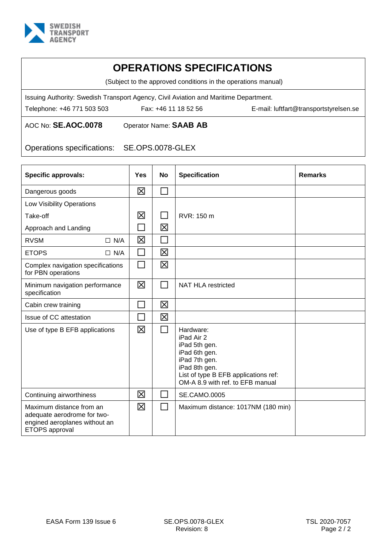

(Subject to the approved conditions in the operations manual)

Issuing Authority: Swedish Transport Agency, Civil Aviation and Maritime Department.

Telephone: +46 771 503 503 Fax: +46 11 18 52 56 E-mail: luftfart@transportstyrelsen.se

AOC No: **SE.AOC.0078** Operator Name: **SAAB AB**

Operations specifications: SE.OPS.0078-GLEX

| <b>Specific approvals:</b>                                                                                 | <b>Yes</b> | No           | <b>Specification</b>                                                                                                                                                    | <b>Remarks</b> |
|------------------------------------------------------------------------------------------------------------|------------|--------------|-------------------------------------------------------------------------------------------------------------------------------------------------------------------------|----------------|
| Dangerous goods                                                                                            | X          |              |                                                                                                                                                                         |                |
| Low Visibility Operations                                                                                  |            |              |                                                                                                                                                                         |                |
| Take-off                                                                                                   | 区          | $\mathsf{L}$ | RVR: 150 m                                                                                                                                                              |                |
| Approach and Landing                                                                                       |            | 区            |                                                                                                                                                                         |                |
| <b>RVSM</b><br>$\Box$ N/A                                                                                  | 区          | $\Box$       |                                                                                                                                                                         |                |
| <b>ETOPS</b><br>$\Box$ N/A                                                                                 | П          | $\boxtimes$  |                                                                                                                                                                         |                |
| Complex navigation specifications<br>for PBN operations                                                    | П          | 区            |                                                                                                                                                                         |                |
| Minimum navigation performance<br>specification                                                            | 区          | $\Box$       | <b>NAT HLA restricted</b>                                                                                                                                               |                |
| Cabin crew training                                                                                        | $\Box$     | 区            |                                                                                                                                                                         |                |
| Issue of CC attestation                                                                                    | П          | 区            |                                                                                                                                                                         |                |
| Use of type B EFB applications                                                                             | 区          | $\mathsf{L}$ | Hardware:<br>iPad Air 2<br>iPad 5th gen.<br>iPad 6th gen.<br>iPad 7th gen.<br>iPad 8th gen.<br>List of type B EFB applications ref:<br>OM-A 8.9 with ref. to EFB manual |                |
| Continuing airworthiness                                                                                   | 区          |              | <b>SE.CAMO.0005</b>                                                                                                                                                     |                |
| Maximum distance from an<br>adequate aerodrome for two-<br>engined aeroplanes without an<br>ETOPS approval | 冈          | $\Box$       | Maximum distance: 1017NM (180 min)                                                                                                                                      |                |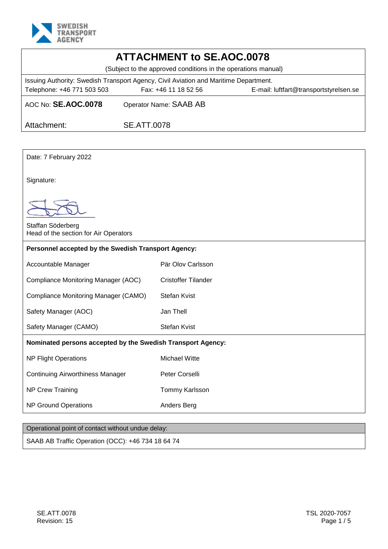

| AULNUT                                                                                       |                    |                            |  |  |  |  |  |
|----------------------------------------------------------------------------------------------|--------------------|----------------------------|--|--|--|--|--|
| <b>ATTACHMENT to SE.AOC.0078</b>                                                             |                    |                            |  |  |  |  |  |
| (Subject to the approved conditions in the operations manual)                                |                    |                            |  |  |  |  |  |
| Issuing Authority: Swedish Transport Agency, Civil Aviation and Maritime Department.         |                    |                            |  |  |  |  |  |
| Fax: +46 11 18 52 56<br>E-mail: luftfart@transportstyrelsen.se<br>Telephone: +46 771 503 503 |                    |                            |  |  |  |  |  |
| AOC No: SE.AOC.0078                                                                          |                    | Operator Name: SAAB AB     |  |  |  |  |  |
| Attachment:                                                                                  | <b>SE.ATT.0078</b> |                            |  |  |  |  |  |
|                                                                                              |                    |                            |  |  |  |  |  |
| Date: 7 February 2022                                                                        |                    |                            |  |  |  |  |  |
| Signature:                                                                                   |                    |                            |  |  |  |  |  |
|                                                                                              |                    |                            |  |  |  |  |  |
| Staffan Söderberg<br>Head of the section for Air Operators                                   |                    |                            |  |  |  |  |  |
| Personnel accepted by the Swedish Transport Agency:                                          |                    |                            |  |  |  |  |  |
| Pär Olov Carlsson<br>Accountable Manager                                                     |                    |                            |  |  |  |  |  |
| Compliance Monitoring Manager (AOC)                                                          |                    | <b>Cristoffer Tilander</b> |  |  |  |  |  |
| Compliance Monitoring Manager (CAMO)                                                         |                    | <b>Stefan Kvist</b>        |  |  |  |  |  |
| Safety Manager (AOC)                                                                         |                    | Jan Thell                  |  |  |  |  |  |
| <b>Stefan Kvist</b><br>Safety Manager (CAMO)                                                 |                    |                            |  |  |  |  |  |

#### **Nominated persons accepted by the Swedish Transport Agency:**

NP Flight Operations Michael Witte

Continuing Airworthiness Manager Peter Corselli

NP Crew Training Tommy Karlsson

NP Ground Operations **Anders Berg** 

### Operational point of contact without undue delay:

SAAB AB Traffic Operation (OCC): +46 734 18 64 74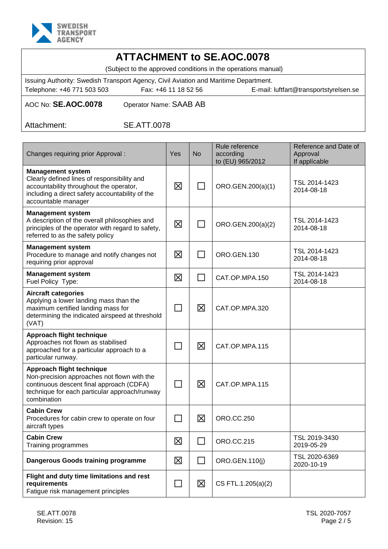

| <b>ATTACHMENT to SE.AOC.0078</b>                                                     |                        |                                        |  |  |  |  |  |  |
|--------------------------------------------------------------------------------------|------------------------|----------------------------------------|--|--|--|--|--|--|
| (Subject to the approved conditions in the operations manual)                        |                        |                                        |  |  |  |  |  |  |
| Issuing Authority: Swedish Transport Agency, Civil Aviation and Maritime Department. |                        |                                        |  |  |  |  |  |  |
| Telephone: +46 771 503 503                                                           | Fax: +46 11 18 52 56   | E-mail: luftfart@transportstyrelsen.se |  |  |  |  |  |  |
| AOC No: SE.AOC.0078                                                                  | Operator Name: SAAB AB |                                        |  |  |  |  |  |  |
| Attachment:                                                                          | <b>SE.ATT.0078</b>     |                                        |  |  |  |  |  |  |
|                                                                                      |                        |                                        |  |  |  |  |  |  |

| Changes requiring prior Approval:                                                                                                                                                            | Yes    | <b>No</b> | Rule reference<br>according<br>to (EU) 965/2012 | Reference and Date of<br>Approval<br>If applicable |
|----------------------------------------------------------------------------------------------------------------------------------------------------------------------------------------------|--------|-----------|-------------------------------------------------|----------------------------------------------------|
| <b>Management system</b><br>Clearly defined lines of responsibility and<br>accountability throughout the operator,<br>including a direct safety accountability of the<br>accountable manager | 区      |           | ORO.GEN.200(a)(1)                               | TSL 2014-1423<br>2014-08-18                        |
| <b>Management system</b><br>A description of the overall philosophies and<br>principles of the operator with regard to safety,<br>referred to as the safety policy                           | 区      | ⊺∃        | ORO.GEN.200(a)(2)                               | TSL 2014-1423<br>2014-08-18                        |
| <b>Management system</b><br>Procedure to manage and notify changes not<br>requiring prior approval                                                                                           | 区      |           | ORO.GEN.130                                     | TSL 2014-1423<br>2014-08-18                        |
| <b>Management system</b><br>Fuel Policy Type:                                                                                                                                                | 区      |           | CAT.OP.MPA.150                                  | TSL 2014-1423<br>2014-08-18                        |
| <b>Aircraft categories</b><br>Applying a lower landing mass than the<br>maximum certified landing mass for<br>determining the indicated airspeed at threshold<br>(VAT)                       | П      | X         | CAT.OP.MPA.320                                  |                                                    |
| Approach flight technique<br>Approaches not flown as stabilised<br>approached for a particular approach to a<br>particular runway.                                                           |        | 区         | CAT.OP.MPA.115                                  |                                                    |
| Approach flight technique<br>Non-precision approaches not flown with the<br>continuous descent final approach (CDFA)<br>technique for each particular approach/runway<br>combination         | $\Box$ | 区         | CAT.OP.MPA.115                                  |                                                    |
| <b>Cabin Crew</b><br>Procedures for cabin crew to operate on four<br>aircraft types                                                                                                          |        | 区         | <b>ORO.CC.250</b>                               |                                                    |
| <b>Cabin Crew</b><br>Training programmes                                                                                                                                                     | 区      |           | <b>ORO.CC.215</b>                               | TSL 2019-3430<br>2019-05-29                        |
| Dangerous Goods training programme                                                                                                                                                           | 区      | $\Box$    | ORO.GEN.110(j)                                  | TSL 2020-6369<br>2020-10-19                        |
| Flight and duty time limitations and rest<br>requirements<br>Fatigue risk management principles                                                                                              | $\Box$ | 区         | CS FTL.1.205(a)(2)                              |                                                    |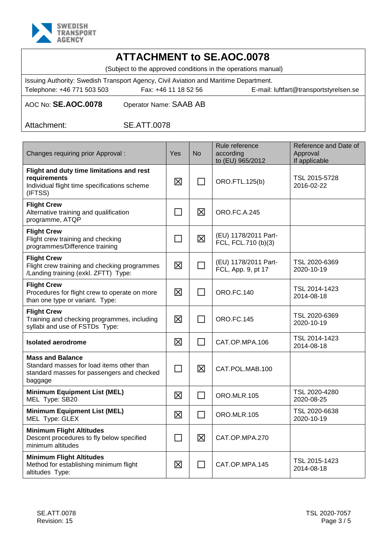

# **ATTACHMENT to SE.AOC.0078**

(Subject to the approved conditions in the operations manual)

Issuing Authority: Swedish Transport Agency, Civil Aviation and Maritime Department. Telephone: +46 771 503 503 Fax: +46 11 18 52 56 E-mail: luftfart@transportstyrelsen.se

AOC No: **SE.AOC.0078** Operator Name: SAAB AB

Attachment: SE.ATT.0078

| Changes requiring prior Approval:                                                                                             | Yes         | No     | Rule reference<br>according<br>to (EU) 965/2012 | Reference and Date of<br>Approval<br>If applicable |
|-------------------------------------------------------------------------------------------------------------------------------|-------------|--------|-------------------------------------------------|----------------------------------------------------|
| Flight and duty time limitations and rest<br>requirements<br>Individual flight time specifications scheme<br>(IFTSS)          | 区           | П      | ORO.FTL.125(b)                                  | TSL 2015-5728<br>2016-02-22                        |
| <b>Flight Crew</b><br>Alternative training and qualification<br>programme, ATQP                                               | $\Box$      | 区      | <b>ORO.FC.A.245</b>                             |                                                    |
| <b>Flight Crew</b><br>Flight crew training and checking<br>programmes/Difference training                                     | $\Box$      | 区      | (EU) 1178/2011 Part-<br>FCL, FCL.710 (b)(3)     |                                                    |
| <b>Flight Crew</b><br>Flight crew training and checking programmes<br>/Landing training (exkl. ZFTT) Type:                    | 区           |        | (EU) 1178/2011 Part-<br>FCL, App. 9, pt 17      | TSL 2020-6369<br>2020-10-19                        |
| <b>Flight Crew</b><br>Procedures for flight crew to operate on more<br>than one type or variant. Type:                        | 区           |        | <b>ORO.FC.140</b>                               | TSL 2014-1423<br>2014-08-18                        |
| <b>Flight Crew</b><br>Training and checking programmes, including<br>syllabi and use of FSTDs Type:                           | 区           |        | <b>ORO.FC.145</b>                               | TSL 2020-6369<br>2020-10-19                        |
| <b>Isolated aerodrome</b>                                                                                                     | $\boxtimes$ | П      | CAT.OP.MPA.106                                  | TSL 2014-1423<br>2014-08-18                        |
| <b>Mass and Balance</b><br>Standard masses for load items other than<br>standard masses for passengers and checked<br>baggage | $\Box$      | 区      | CAT.POL.MAB.100                                 |                                                    |
| <b>Minimum Equipment List (MEL)</b><br>MEL Type: SB20                                                                         | 区           | $\Box$ | ORO.MLR.105                                     | TSL 2020-4280<br>2020-08-25                        |
| <b>Minimum Equipment List (MEL)</b><br>MEL Type: GLEX                                                                         | $\boxtimes$ |        | ORO.MLR.105                                     | TSL 2020-6638<br>2020-10-19                        |
| <b>Minimum Flight Altitudes</b><br>Descent procedures to fly below specified<br>minimum altitudes                             | $\sim$      | 区      | CAT.OP.MPA.270                                  |                                                    |
| <b>Minimum Flight Altitudes</b><br>Method for establishing minimum flight<br>altitudes Type:                                  | 区           |        | CAT.OP.MPA.145                                  | TSL 2015-1423<br>2014-08-18                        |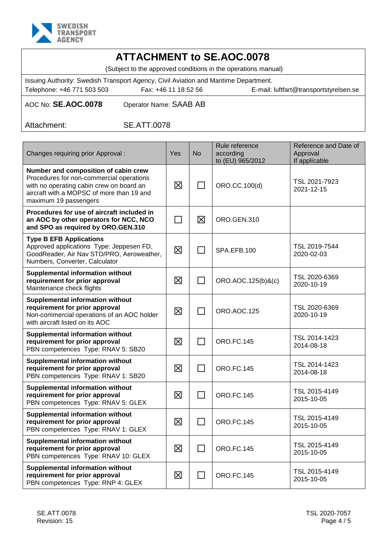

| AULNUT                                                                                                                                                                                             |                                                                 |              |                                                 |                                                    |  |  |  |
|----------------------------------------------------------------------------------------------------------------------------------------------------------------------------------------------------|-----------------------------------------------------------------|--------------|-------------------------------------------------|----------------------------------------------------|--|--|--|
| <b>ATTACHMENT to SE.AOC.0078</b><br>(Subject to the approved conditions in the operations manual)                                                                                                  |                                                                 |              |                                                 |                                                    |  |  |  |
| Issuing Authority: Swedish Transport Agency, Civil Aviation and Maritime Department.<br>Telephone: +46 771 503 503<br>Fax: +46 11 18 52 56<br>E-mail: luftfart@transportstyrelsen.se               |                                                                 |              |                                                 |                                                    |  |  |  |
| AOC No: SE.AOC.0078<br>Operator Name: SAAB AB                                                                                                                                                      |                                                                 |              |                                                 |                                                    |  |  |  |
| <b>SE.ATT.0078</b><br>Attachment:                                                                                                                                                                  |                                                                 |              |                                                 |                                                    |  |  |  |
|                                                                                                                                                                                                    |                                                                 |              |                                                 |                                                    |  |  |  |
| Changes requiring prior Approval :                                                                                                                                                                 | Yes                                                             | <b>No</b>    | Rule reference<br>according<br>to (EU) 965/2012 | Reference and Date of<br>Approval<br>If applicable |  |  |  |
| Number and composition of cabin crew<br>Procedures for non-commercial operations<br>with no operating cabin crew on board an<br>aircraft with a MOPSC of more than 19 and<br>maximum 19 passengers | 区                                                               |              | ORO.CC.100(d)                                   | TSL 2021-7923<br>2021-12-15                        |  |  |  |
| Procedures for use of aircraft included in<br>区<br>an AOC by other operators for NCC, NCO<br>$\Box$<br>ORO.GEN.310<br>and SPO as required by ORO.GEN.310                                           |                                                                 |              |                                                 |                                                    |  |  |  |
| <b>Type B EFB Applications</b><br>Approved applications Type: Jeppesen FD,<br>GoodReader, Air Nav STD/PRO, Aeroweather,<br>Numbers, Converter, Calculator                                          | $\boxtimes$                                                     |              | SPA.EFB.100                                     | TSL 2019-7544<br>2020-02-03                        |  |  |  |
| <b>Supplemental information without</b><br>requirement for prior approval<br>Maintenance check flights                                                                                             | 区                                                               |              | ORO.AOC.125(b)&(c)                              | TSL 2020-6369<br>2020-10-19                        |  |  |  |
| <b>Supplemental information without</b><br>requirement for prior approval<br>Non-commercial operations of an AOC holder<br>with aircraft listed on its AOC                                         | 区                                                               | $\mathbf{L}$ | ORO.AOC.125                                     | TSL 2020-6369<br>2020-10-19                        |  |  |  |
| <b>Supplemental information without</b><br>requirement for prior approval<br>PBN competences Type: RNAV 5: SB20                                                                                    | 区                                                               |              | <b>ORO.FC.145</b>                               | TSL 2014-1423<br>2014-08-18                        |  |  |  |
| <b>Supplemental information without</b><br>requirement for prior approval<br>PBN competences Type: RNAV 1: SB20                                                                                    | 区                                                               | $\Box$       | <b>ORO.FC.145</b>                               | TSL 2014-1423<br>2014-08-18                        |  |  |  |
| <b>Supplemental information without</b><br>requirement for prior approval<br>PBN competences Type: RNAV 5: GLEX                                                                                    | TSL 2015-4149<br>区<br><b>ORO.FC.145</b><br>$\Box$<br>2015-10-05 |              |                                                 |                                                    |  |  |  |
| <b>Supplemental information without</b><br>requirement for prior approval<br>PBN competences Type: RNAV 1: GLEX                                                                                    | 区                                                               |              | <b>ORO.FC.145</b>                               | TSL 2015-4149<br>2015-10-05                        |  |  |  |

**Supplemental information without requirement for prior approval**

**Supplemental information without requirement for prior approval**

PBN competences Type: RNP 4: GLEX

PBN competences Type: RNAV 10: GLEX

2015-10-05

2015-10-05

 $\boxtimes$   $\Box$  ORO.FC.145  $\Box$  TSL 2015-4149

 $\boxtimes$   $\Box$  ORO.FC.145 TSL 2015-4149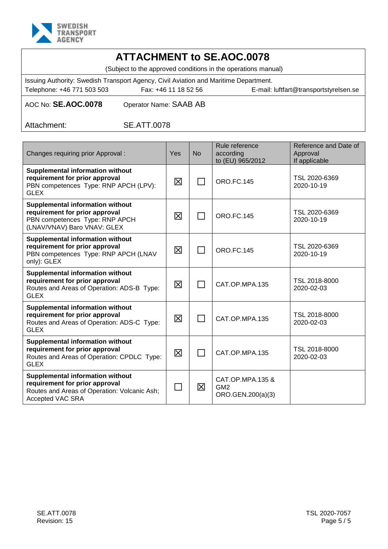

# **ATTACHMENT to SE.AOC.0078**

(Subject to the approved conditions in the operations manual)

Issuing Authority: Swedish Transport Agency, Civil Aviation and Maritime Department. Telephone: +46 771 503 503 Fax: +46 11 18 52 56 E-mail: luftfart@transportstyrelsen.se

AOC No: **SE.AOC.0078** Operator Name: SAAB AB

Attachment: SE.ATT.0078

| Changes requiring prior Approval:                                                                                                             | Yes         | <b>No</b> | Rule reference<br>according<br>to (EU) 965/2012          | Reference and Date of<br>Approval<br>If applicable |
|-----------------------------------------------------------------------------------------------------------------------------------------------|-------------|-----------|----------------------------------------------------------|----------------------------------------------------|
| <b>Supplemental information without</b><br>requirement for prior approval<br>PBN competences Type: RNP APCH (LPV):<br><b>GLEX</b>             | 区           |           | <b>ORO.FC.145</b>                                        | TSL 2020-6369<br>2020-10-19                        |
| <b>Supplemental information without</b><br>requirement for prior approval<br>PBN competences Type: RNP APCH<br>(LNAV/VNAV) Baro VNAV: GLEX    | 区           |           | <b>ORO.FC.145</b>                                        | TSL 2020-6369<br>2020-10-19                        |
| <b>Supplemental information without</b><br>requirement for prior approval<br>PBN competences Type: RNP APCH (LNAV<br>only): GLEX              | $\boxtimes$ |           | <b>ORO.FC.145</b>                                        | TSL 2020-6369<br>2020-10-19                        |
| <b>Supplemental information without</b><br>requirement for prior approval<br>Routes and Areas of Operation: ADS-B Type:<br><b>GLEX</b>        | 区           |           | CAT.OP.MPA.135                                           | TSL 2018-8000<br>2020-02-03                        |
| <b>Supplemental information without</b><br>requirement for prior approval<br>Routes and Areas of Operation: ADS-C Type:<br><b>GLEX</b>        | $\boxtimes$ |           | CAT.OP.MPA.135                                           | TSL 2018-8000<br>2020-02-03                        |
| <b>Supplemental information without</b><br>requirement for prior approval<br>Routes and Areas of Operation: CPDLC Type:<br><b>GLEX</b>        | 区           |           | CAT.OP.MPA.135                                           | TSL 2018-8000<br>2020-02-03                        |
| <b>Supplemental information without</b><br>requirement for prior approval<br>Routes and Areas of Operation: Volcanic Ash;<br>Accepted VAC SRA | $\Box$      | 区         | CAT.OP.MPA.135 &<br>GM <sub>2</sub><br>ORO.GEN.200(a)(3) |                                                    |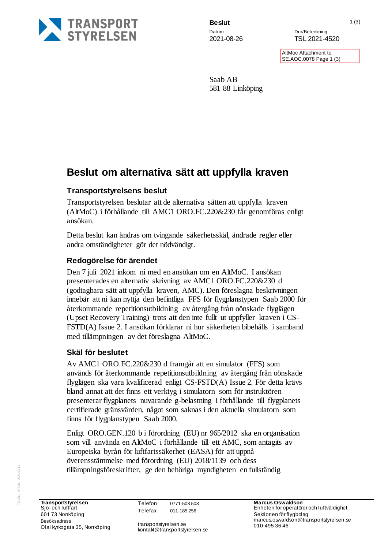

**Beslut** 1 (3)

Datum Datum Dnr/Beteckning 2021-08-26 TSL 2021-4520

> **AltMoc Attachment to** SE.AOC.0078 Page 1 (3)

Saab AB 581 88 Linköping

## **Beslut om alternativa sätt att uppfylla kraven**

### **Transportstyrelsens beslut**

Transportstyrelsen beslutar att de alternativa sätten att uppfylla kraven (AltMoC) i förhållande till AMC1 ORO.FC.220&230 får genomföras enligt ansökan.

Detta beslut kan ändras om tvingande säkerhetsskäl, ändrade regler eller andra omständigheter gör det nödvändigt.

#### **Redogörelse för ärendet**

Den 7 juli 2021 inkom ni med en ansökan om en AltMoC. I ansökan presenterades en alternativ skrivning av AMC1 ORO.FC.220&230 d (godtagbara sätt att uppfylla kraven, AMC). Den föreslagna beskrivningen innebär att ni kan nyttja den befintliga FFS för flygplanstypen Saab 2000 för återkommande repetitionsutbildning av återgång från oönskade flyglägen (Upset Recovery Training) trots att den inte fullt ut uppfyller kraven i CS-FSTD(A) Issue 2. I ansökan förklarar ni hur säkerheten bibehålls i samband med tillämpningen av det föreslagna AltMoC.

### **Skäl för beslutet**

Av AMC1 ORO.FC.220&230 d framgår att en simulator (FFS) som används för återkommande repetitionsutbildning av återgång från oönskade flyglägen ska vara kvalificerad enligt CS-FSTD(A) Issue 2. För detta krävs bland annat att det finns ett verktyg i simulatorn som för instruktören presenterar flygplanets nuvarande g-belastning i förhållande till flygplanets certifierade gränsvärden, något som saknas i den aktuella simulatorn som finns för flygplanstypen Saab 2000.

Enligt ORO.GEN.120 b i förordning (EU) nr 965/2012 ska en organisation som vill använda en AltMoC i förhållande till ett AMC, som antagits av Europeiska byrån för luftfartssäkerhet (EASA) för att uppnå överensstämmelse med förordning (EU) 2018/1139 och dess tillämpningsföreskrifter, ge den behöriga myndigheten en fullständig

transportstyrelsen.se kontakt@transportstyrelsen.se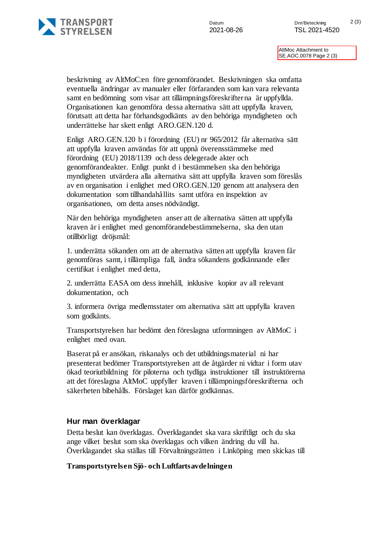

AltMoc Attachment to SE.AOC.0078 Page 2 (3)

beskrivning av AltMoC:en före genomförandet. Beskrivningen ska omfatta eventuella ändringar av manualer eller förfaranden som kan vara relevanta samt en bedömning som visar att tillämpningsföreskrifterna är uppfyllda. Organisationen kan genomföra dessa alternativa sätt att uppfylla kraven, förutsatt att detta har förhandsgodkänts av den behöriga myndigheten och underrättelse har skett enligt ARO.GEN.120 d.

Enligt ARO.GEN.120 b i förordning (EU) nr 965/2012 får alternativa sätt att uppfylla kraven användas för att uppnå överensstämmelse med förordning (EU) 2018/1139 och dess delegerade akter och genomförandeakter. Enligt punkt d i bestämmelsen ska den behöriga myndigheten utvärdera alla alternativa sätt att uppfylla kraven som föreslås av en organisation i enlighet med ORO.GEN.120 genom att analysera den dokumentation som tillhandahållits samt utföra en inspektion av organisationen, om detta anses nödvändigt.

När den behöriga myndigheten anser att de alternativa sätten att uppfylla kraven är i enlighet med genomförandebestämmelserna, ska den utan otillbörligt dröjsmål:

1. underrätta sökanden om att de alternativa sätten att uppfylla kraven får genomföras samt, i tillämpliga fall, ändra sökandens godkännande eller certifikat i enlighet med detta,

2. underrätta EASA om dess innehåll, inklusive kopior av all relevant dokumentation, och

3. informera övriga medlemsstater om alternativa sätt att uppfylla kraven som godkänts.

Transportstyrelsen har bedömt den föreslagna utformningen av AltMoC i enlighet med ovan.

Baserat på er ansökan, riskanalys och det utbildningsmaterial ni har presenterat bedömer Transportstyrelsen att de åtgärder ni vidtar i form utav ökad teoriutbildning för piloterna och tydliga instruktioner till instruktörerna att det föreslagna AltMoC uppfyller kraven i tillämpningsföreskrifterna och säkerheten bibehålls. Förslaget kan därför godkännas.

#### **Hur man överklagar**

Detta beslut kan överklagas. Överklagandet ska vara skriftligt och du ska ange vilket beslut som ska överklagas och vilken ändring du vill ha. Överklagandet ska ställas till Förvaltningsrätten i Linköping men skickas till

#### **Transportstyrelsen Sjö- och Luftfartsavdelningen**